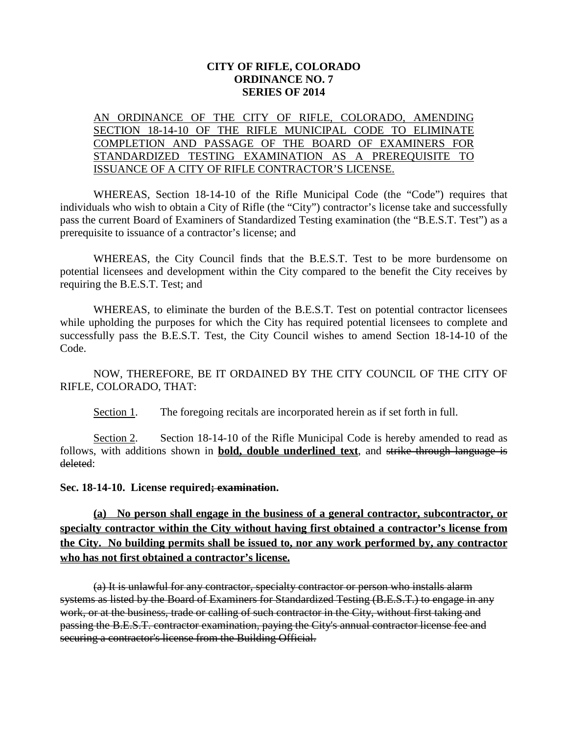## **CITY OF RIFLE, COLORADO ORDINANCE NO. 7 SERIES OF 2014**

## AN ORDINANCE OF THE CITY OF RIFLE, COLORADO, AMENDING SECTION 18-14-10 OF THE RIFLE MUNICIPAL CODE TO ELIMINATE COMPLETION AND PASSAGE OF THE BOARD OF EXAMINERS FOR STANDARDIZED TESTING EXAMINATION AS A PREREQUISITE TO ISSUANCE OF A CITY OF RIFLE CONTRACTOR'S LICENSE.

WHEREAS, Section 18-14-10 of the Rifle Municipal Code (the "Code") requires that individuals who wish to obtain a City of Rifle (the "City") contractor's license take and successfully pass the current Board of Examiners of Standardized Testing examination (the "B.E.S.T. Test") as a prerequisite to issuance of a contractor's license; and

WHEREAS, the City Council finds that the B.E.S.T. Test to be more burdensome on potential licensees and development within the City compared to the benefit the City receives by requiring the B.E.S.T. Test; and

WHEREAS, to eliminate the burden of the B.E.S.T. Test on potential contractor licensees while upholding the purposes for which the City has required potential licensees to complete and successfully pass the B.E.S.T. Test, the City Council wishes to amend Section 18-14-10 of the Code.

NOW, THEREFORE, BE IT ORDAINED BY THE CITY COUNCIL OF THE CITY OF RIFLE, COLORADO, THAT:

Section 1. The foregoing recitals are incorporated herein as if set forth in full.

Section 2. Section 18-14-10 of the Rifle Municipal Code is hereby amended to read as follows, with additions shown in **bold, double underlined text**, and strike through language is deleted:

**Sec. 18-14-10. License required; examination.**

**(a) No person shall engage in the business of a general contractor, subcontractor, or specialty contractor within the City without having first obtained a contractor's license from the City. No building permits shall be issued to, nor any work performed by, any contractor who has not first obtained a contractor's license.**

(a) It is unlawful for any contractor, specialty contractor or person who installs alarm systems as listed by the Board of Examiners for Standardized Testing (B.E.S.T.) to engage in any work, or at the business, trade or calling of such contractor in the City, without first taking and passing the B.E.S.T. contractor examination, paying the City's annual contractor license fee and securing a contractor's license from the Building Official.